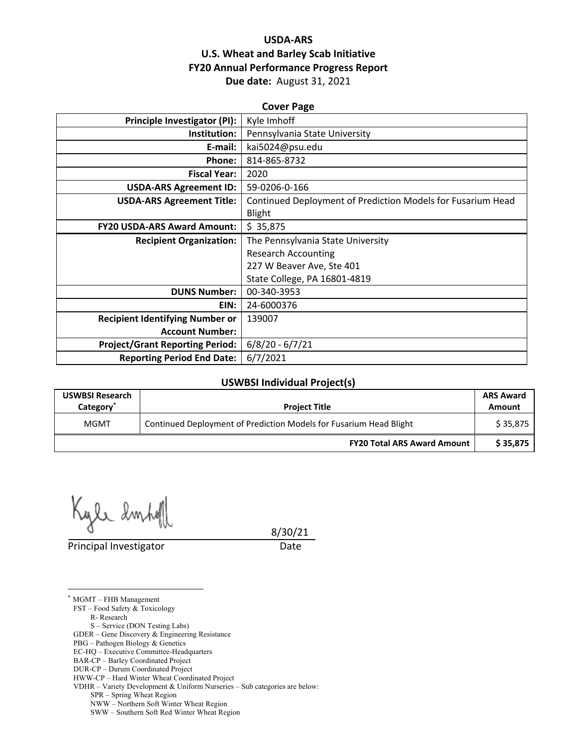# **USDA‐ARS U.S. Wheat and Barley Scab Initiative FY20 Annual Performance Progress Report Due date:** August 31, 2021

| <b>Cover Page</b>                                           |  |  |  |  |
|-------------------------------------------------------------|--|--|--|--|
| Kyle Imhoff                                                 |  |  |  |  |
| Pennsylvania State University                               |  |  |  |  |
| kai5024@psu.edu                                             |  |  |  |  |
| 814-865-8732                                                |  |  |  |  |
| 2020                                                        |  |  |  |  |
| 59-0206-0-166                                               |  |  |  |  |
| Continued Deployment of Prediction Models for Fusarium Head |  |  |  |  |
| Blight                                                      |  |  |  |  |
| \$35,875                                                    |  |  |  |  |
| The Pennsylvania State University                           |  |  |  |  |
| <b>Research Accounting</b>                                  |  |  |  |  |
| 227 W Beaver Ave, Ste 401                                   |  |  |  |  |
| State College, PA 16801-4819                                |  |  |  |  |
| 00-340-3953                                                 |  |  |  |  |
|                                                             |  |  |  |  |
| 24-6000376                                                  |  |  |  |  |
| 139007                                                      |  |  |  |  |
|                                                             |  |  |  |  |
| $6/8/20 - 6/7/21$                                           |  |  |  |  |
|                                                             |  |  |  |  |

## **USWBSI Individual Project(s)**

| <b>USWBSI Research</b><br>Category <sup>®</sup> | <b>Project Title</b>                                               | <b>ARS Award</b><br>Amount |
|-------------------------------------------------|--------------------------------------------------------------------|----------------------------|
| <b>MGMT</b>                                     | Continued Deployment of Prediction Models for Fusarium Head Blight | \$35,875                   |
|                                                 | <b>FY20 Total ARS Award Amount</b>                                 | \$35,875                   |

Ky le dont

Principal Investigator **Date** 

8/30/21

 $\overline{a}$ \* MGMT – FHB Management FST – Food Safety & Toxicology R- Research S – Service (DON Testing Labs) GDER – Gene Discovery & Engineering Resistance PBG – Pathogen Biology & Genetics EC-HQ – Executive Committee-Headquarters BAR-CP – Barley Coordinated Project DUR-CP – Durum Coordinated Project HWW-CP – Hard Winter Wheat Coordinated Project VDHR – Variety Development & Uniform Nurseries – Sub categories are below: SPR – Spring Wheat Region NWW – Northern Soft Winter Wheat Region

SWW – Southern Soft Red Winter Wheat Region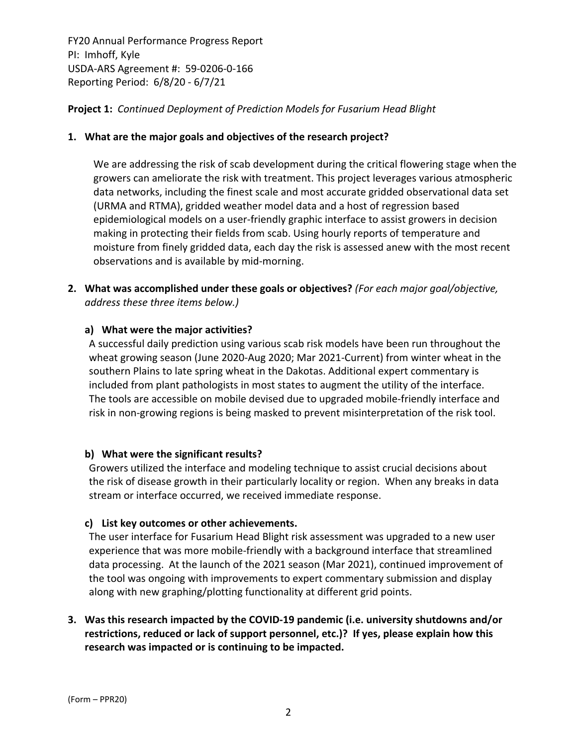# **Project 1:** *Continued Deployment of Prediction Models for Fusarium Head Blight*

### **1. What are the major goals and objectives of the research project?**

We are addressing the risk of scab development during the critical flowering stage when the growers can ameliorate the risk with treatment. This project leverages various atmospheric data networks, including the finest scale and most accurate gridded observational data set (URMA and RTMA), gridded weather model data and a host of regression based epidemiological models on a user‐friendly graphic interface to assist growers in decision making in protecting their fields from scab. Using hourly reports of temperature and moisture from finely gridded data, each day the risk is assessed anew with the most recent observations and is available by mid‐morning.

**2. What was accomplished under these goals or objectives?** *(For each major goal/objective, address these three items below.)*

#### **a) What were the major activities?**

A successful daily prediction using various scab risk models have been run throughout the wheat growing season (June 2020‐Aug 2020; Mar 2021‐Current) from winter wheat in the southern Plains to late spring wheat in the Dakotas. Additional expert commentary is included from plant pathologists in most states to augment the utility of the interface. The tools are accessible on mobile devised due to upgraded mobile‐friendly interface and risk in non‐growing regions is being masked to prevent misinterpretation of the risk tool.

#### **b) What were the significant results?**

Growers utilized the interface and modeling technique to assist crucial decisions about the risk of disease growth in their particularly locality or region. When any breaks in data stream or interface occurred, we received immediate response.

# **c) List key outcomes or other achievements.**

The user interface for Fusarium Head Blight risk assessment was upgraded to a new user experience that was more mobile-friendly with a background interface that streamlined data processing. At the launch of the 2021 season (Mar 2021), continued improvement of the tool was ongoing with improvements to expert commentary submission and display along with new graphing/plotting functionality at different grid points.

# **3. Was this research impacted by the COVID‐19 pandemic (i.e. university shutdowns and/or restrictions, reduced or lack of support personnel, etc.)? If yes, please explain how this research was impacted or is continuing to be impacted.**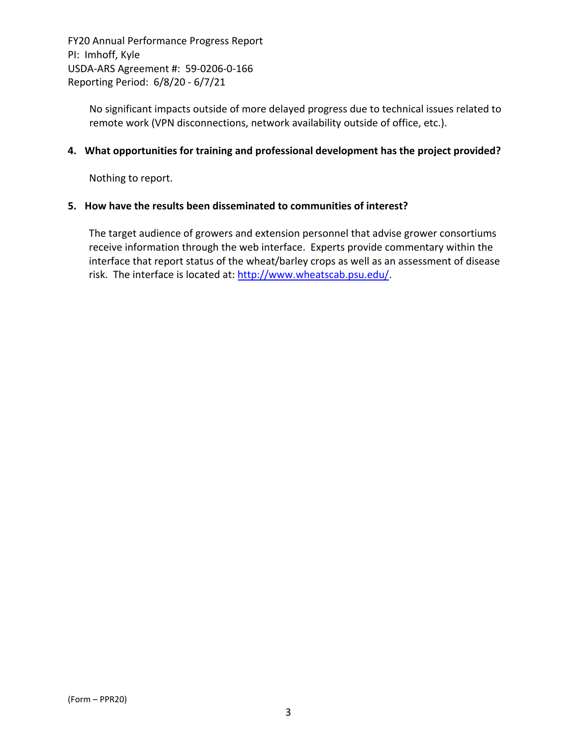> No significant impacts outside of more delayed progress due to technical issues related to remote work (VPN disconnections, network availability outside of office, etc.).

## **4. What opportunities for training and professional development has the project provided?**

Nothing to report.

#### **5. How have the results been disseminated to communities of interest?**

The target audience of growers and extension personnel that advise grower consortiums receive information through the web interface. Experts provide commentary within the interface that report status of the wheat/barley crops as well as an assessment of disease risk. The interface is located at: http://www.wheatscab.psu.edu/.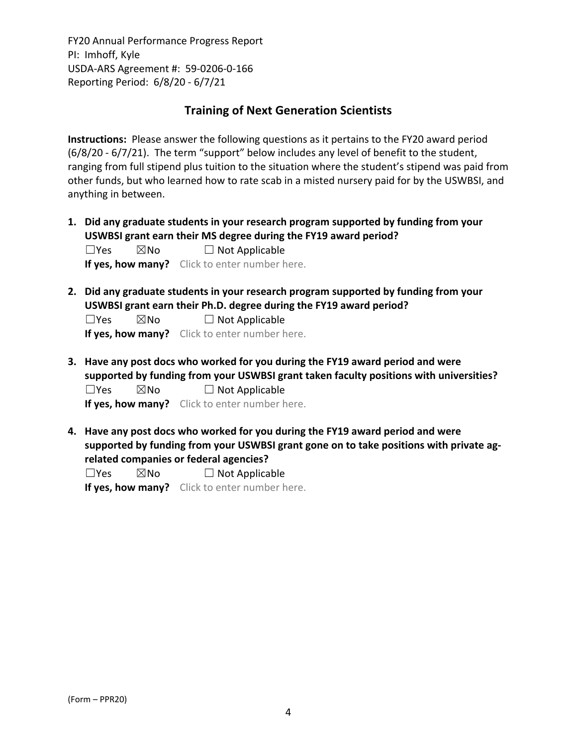# **Training of Next Generation Scientists**

**Instructions:** Please answer the following questions as it pertains to the FY20 award period (6/8/20 ‐ 6/7/21). The term "support" below includes any level of benefit to the student, ranging from full stipend plus tuition to the situation where the student's stipend was paid from other funds, but who learned how to rate scab in a misted nursery paid for by the USWBSI, and anything in between.

**1. Did any graduate students in your research program supported by funding from your USWBSI grant earn their MS degree during the FY19 award period?**  $\square$ Yes  $\square$ No  $\square$  Not Applicable

**If yes, how many?** Click to enter number here.

**2. Did any graduate students in your research program supported by funding from your USWBSI grant earn their Ph.D. degree during the FY19 award period?**

 $\square$ Yes  $\square$ No  $\square$  Not Applicable

**If yes, how many?** Click to enter number here.

**3. Have any post docs who worked for you during the FY19 award period and were supported by funding from your USWBSI grant taken faculty positions with universities?**  $\square$ Yes  $\square$ No  $\square$  Not Applicable

**If yes, how many?** Click to enter number here.

**4. Have any post docs who worked for you during the FY19 award period and were supported by funding from your USWBSI grant gone on to take positions with private ag‐ related companies or federal agencies?**

 $\square$ Yes  $\square$ No  $\square$  Not Applicable

**If yes, how many?** Click to enter number here.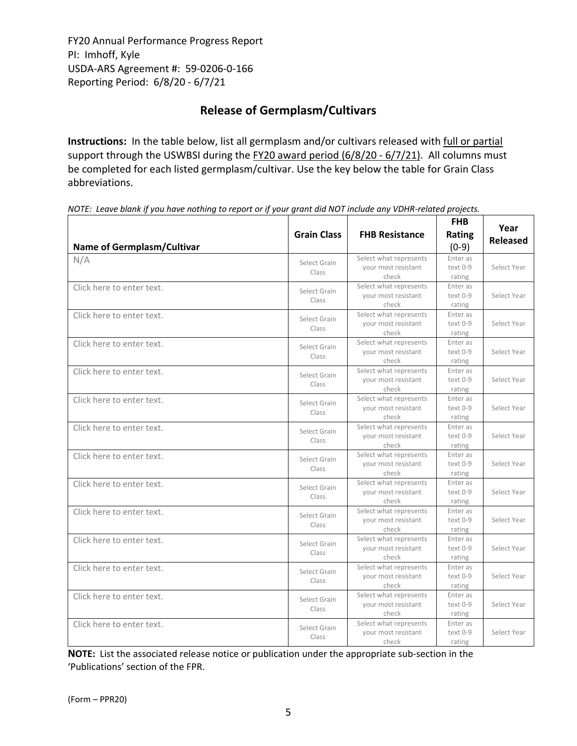# **Release of Germplasm/Cultivars**

**Instructions:** In the table below, list all germplasm and/or cultivars released with full or partial support through the USWBSI during the FY20 award period (6/8/20 - 6/7/21). All columns must be completed for each listed germplasm/cultivar. Use the key below the table for Grain Class abbreviations. 

NOTE: Leave blank if you have nothing to report or if your grant did NOT include any VDHR-related projects.

| <b>Name of Germplasm/Cultivar</b> | <b>Grain Class</b>    | <b>FHB Resistance</b>                                  | <b>FHB</b><br><b>Rating</b><br>$(0-9)$ | Year<br><b>Released</b> |
|-----------------------------------|-----------------------|--------------------------------------------------------|----------------------------------------|-------------------------|
| N/A                               | Select Grain<br>Class | Select what represents<br>your most resistant<br>check | Enter as<br>text 0-9<br>rating         | Select Year             |
| Click here to enter text.         | Select Grain<br>Class | Select what represents<br>your most resistant<br>check | Enter as<br>text 0-9<br>rating         | Select Year             |
| Click here to enter text.         | Select Grain<br>Class | Select what represents<br>your most resistant<br>check | Enter as<br>text 0-9<br>rating         | Select Year             |
| Click here to enter text.         | Select Grain<br>Class | Select what represents<br>your most resistant<br>check | Enter as<br>text 0-9<br>rating         | Select Year             |
| Click here to enter text.         | Select Grain<br>Class | Select what represents<br>your most resistant<br>check | Enter as<br>text 0-9<br>rating         | Select Year             |
| Click here to enter text.         | Select Grain<br>Class | Select what represents<br>your most resistant<br>check | Enter as<br>text 0-9<br>rating         | Select Year             |
| Click here to enter text.         | Select Grain<br>Class | Select what represents<br>your most resistant<br>check | Enter as<br>text 0-9<br>rating         | Select Year             |
| Click here to enter text.         | Select Grain<br>Class | Select what represents<br>your most resistant<br>check | Enter as<br>text 0-9<br>rating         | Select Year             |
| Click here to enter text.         | Select Grain<br>Class | Select what represents<br>your most resistant<br>check | Enter as<br>text 0-9<br>rating         | Select Year             |
| Click here to enter text.         | Select Grain<br>Class | Select what represents<br>your most resistant<br>check | Enter as<br>text 0-9<br>rating         | Select Year             |
| Click here to enter text.         | Select Grain<br>Class | Select what represents<br>your most resistant<br>check | Enter as<br>text 0-9<br>rating         | Select Year             |
| Click here to enter text.         | Select Grain<br>Class | Select what represents<br>your most resistant<br>check | Enter as<br>text 0-9<br>rating         | Select Year             |
| Click here to enter text.         | Select Grain<br>Class | Select what represents<br>your most resistant<br>check | Enter as<br>text 0-9<br>rating         | Select Year             |
| Click here to enter text.         | Select Grain<br>Class | Select what represents<br>your most resistant<br>check | Enter as<br>text 0-9<br>rating         | Select Year             |

**NOTE:** List the associated release notice or publication under the appropriate sub-section in the 'Publications' section of the FPR.